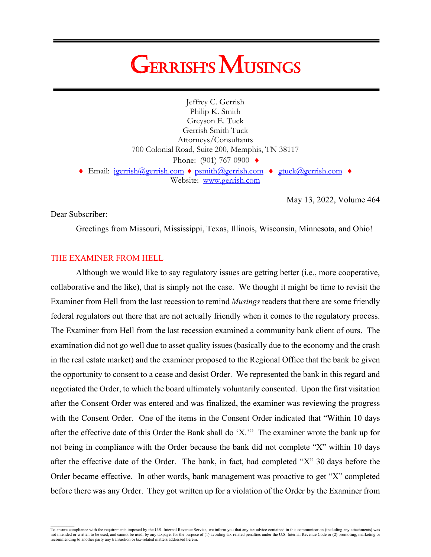# **GERRISH'S MUSINGS**

Jeffrey C. Gerrish Philip K. Smith Greyson E. Tuck Gerrish Smith Tuck Attorneys/Consultants 700 Colonial Road, Suite 200, Memphis, TN 38117 Phone: (901) 767-0900 ♦ ♦ Email: jgerrish@gerrish.com ♦ [psmith@gerrish.com](mailto:psmith@gerrish.com) ♦ [gtuck@gerrish.com](mailto:gtuck@gerrish.com) ♦ Website: www.gerrish.com

May 13, 2022, Volume 464

Dear Subscriber:

Greetings from Missouri, Mississippi, Texas, Illinois, Wisconsin, Minnesota, and Ohio!

# THE EXAMINER FROM HELL

Although we would like to say regulatory issues are getting better (i.e., more cooperative, collaborative and the like), that is simply not the case. We thought it might be time to revisit the Examiner from Hell from the last recession to remind *Musings* readers that there are some friendly federal regulators out there that are not actually friendly when it comes to the regulatory process. The Examiner from Hell from the last recession examined a community bank client of ours. The examination did not go well due to asset quality issues (basically due to the economy and the crash in the real estate market) and the examiner proposed to the Regional Office that the bank be given the opportunity to consent to a cease and desist Order. We represented the bank in this regard and negotiated the Order, to which the board ultimately voluntarily consented. Upon the first visitation after the Consent Order was entered and was finalized, the examiner was reviewing the progress with the Consent Order. One of the items in the Consent Order indicated that "Within 10 days after the effective date of this Order the Bank shall do 'X.'" The examiner wrote the bank up for not being in compliance with the Order because the bank did not complete "X" within 10 days after the effective date of the Order. The bank, in fact, had completed "X" 30 days before the Order became effective. In other words, bank management was proactive to get "X" completed before there was any Order. They got written up for a violation of the Order by the Examiner from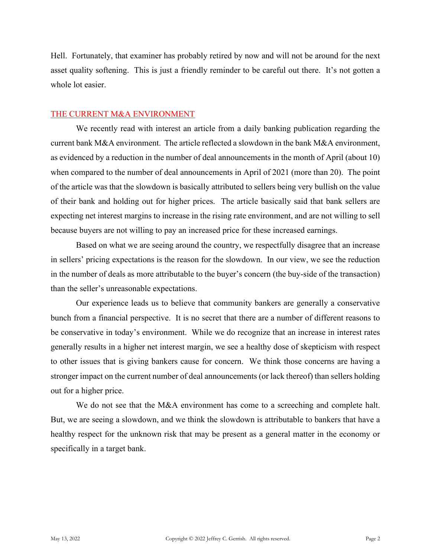Hell. Fortunately, that examiner has probably retired by now and will not be around for the next asset quality softening. This is just a friendly reminder to be careful out there. It's not gotten a whole lot easier.

# THE CURRENT M&A ENVIRONMENT

We recently read with interest an article from a daily banking publication regarding the current bank M&A environment. The article reflected a slowdown in the bank M&A environment, as evidenced by a reduction in the number of deal announcements in the month of April (about 10) when compared to the number of deal announcements in April of 2021 (more than 20). The point of the article was that the slowdown is basically attributed to sellers being very bullish on the value of their bank and holding out for higher prices. The article basically said that bank sellers are expecting net interest margins to increase in the rising rate environment, and are not willing to sell because buyers are not willing to pay an increased price for these increased earnings.

Based on what we are seeing around the country, we respectfully disagree that an increase in sellers' pricing expectations is the reason for the slowdown. In our view, we see the reduction in the number of deals as more attributable to the buyer's concern (the buy-side of the transaction) than the seller's unreasonable expectations.

Our experience leads us to believe that community bankers are generally a conservative bunch from a financial perspective. It is no secret that there are a number of different reasons to be conservative in today's environment. While we do recognize that an increase in interest rates generally results in a higher net interest margin, we see a healthy dose of skepticism with respect to other issues that is giving bankers cause for concern. We think those concerns are having a stronger impact on the current number of deal announcements (or lack thereof) than sellers holding out for a higher price.

We do not see that the M&A environment has come to a screeching and complete halt. But, we are seeing a slowdown, and we think the slowdown is attributable to bankers that have a healthy respect for the unknown risk that may be present as a general matter in the economy or specifically in a target bank.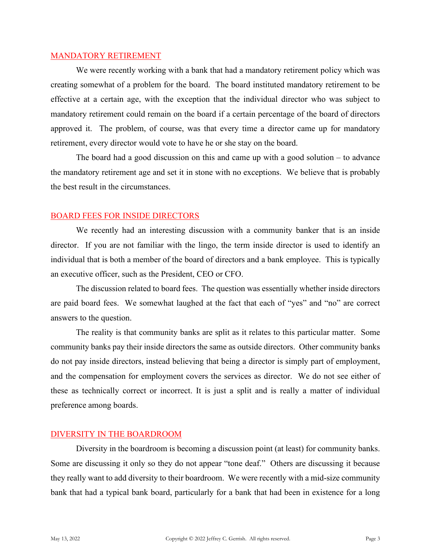#### MANDATORY RETIREMENT

We were recently working with a bank that had a mandatory retirement policy which was creating somewhat of a problem for the board. The board instituted mandatory retirement to be effective at a certain age, with the exception that the individual director who was subject to mandatory retirement could remain on the board if a certain percentage of the board of directors approved it. The problem, of course, was that every time a director came up for mandatory retirement, every director would vote to have he or she stay on the board.

The board had a good discussion on this and came up with a good solution – to advance the mandatory retirement age and set it in stone with no exceptions. We believe that is probably the best result in the circumstances.

# BOARD FEES FOR INSIDE DIRECTORS

We recently had an interesting discussion with a community banker that is an inside director. If you are not familiar with the lingo, the term inside director is used to identify an individual that is both a member of the board of directors and a bank employee. This is typically an executive officer, such as the President, CEO or CFO.

The discussion related to board fees. The question was essentially whether inside directors are paid board fees. We somewhat laughed at the fact that each of "yes" and "no" are correct answers to the question.

The reality is that community banks are split as it relates to this particular matter. Some community banks pay their inside directors the same as outside directors. Other community banks do not pay inside directors, instead believing that being a director is simply part of employment, and the compensation for employment covers the services as director. We do not see either of these as technically correct or incorrect. It is just a split and is really a matter of individual preference among boards.

# DIVERSITY IN THE BOARDROOM

Diversity in the boardroom is becoming a discussion point (at least) for community banks. Some are discussing it only so they do not appear "tone deaf." Others are discussing it because they really want to add diversity to their boardroom. We were recently with a mid-size community bank that had a typical bank board, particularly for a bank that had been in existence for a long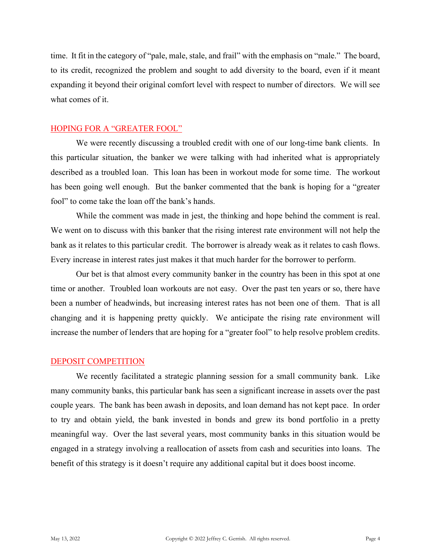time. It fit in the category of "pale, male, stale, and frail" with the emphasis on "male." The board, to its credit, recognized the problem and sought to add diversity to the board, even if it meant expanding it beyond their original comfort level with respect to number of directors. We will see what comes of it.

## HOPING FOR A "GREATER FOOL"

We were recently discussing a troubled credit with one of our long-time bank clients. In this particular situation, the banker we were talking with had inherited what is appropriately described as a troubled loan. This loan has been in workout mode for some time. The workout has been going well enough. But the banker commented that the bank is hoping for a "greater fool" to come take the loan off the bank's hands.

While the comment was made in jest, the thinking and hope behind the comment is real. We went on to discuss with this banker that the rising interest rate environment will not help the bank as it relates to this particular credit. The borrower is already weak as it relates to cash flows. Every increase in interest rates just makes it that much harder for the borrower to perform.

Our bet is that almost every community banker in the country has been in this spot at one time or another. Troubled loan workouts are not easy. Over the past ten years or so, there have been a number of headwinds, but increasing interest rates has not been one of them. That is all changing and it is happening pretty quickly. We anticipate the rising rate environment will increase the number of lenders that are hoping for a "greater fool" to help resolve problem credits.

# DEPOSIT COMPETITION

We recently facilitated a strategic planning session for a small community bank. Like many community banks, this particular bank has seen a significant increase in assets over the past couple years. The bank has been awash in deposits, and loan demand has not kept pace. In order to try and obtain yield, the bank invested in bonds and grew its bond portfolio in a pretty meaningful way. Over the last several years, most community banks in this situation would be engaged in a strategy involving a reallocation of assets from cash and securities into loans. The benefit of this strategy is it doesn't require any additional capital but it does boost income.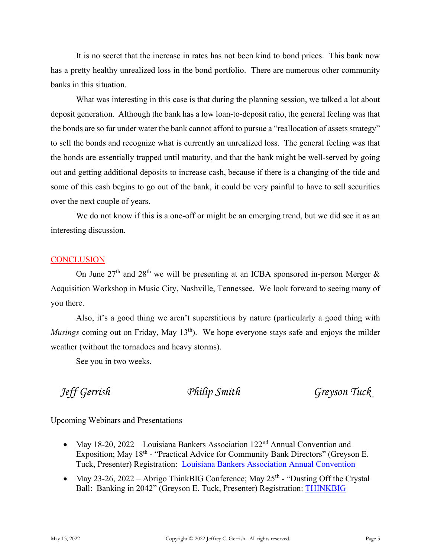It is no secret that the increase in rates has not been kind to bond prices. This bank now has a pretty healthy unrealized loss in the bond portfolio. There are numerous other community banks in this situation.

What was interesting in this case is that during the planning session, we talked a lot about deposit generation. Although the bank has a low loan-to-deposit ratio, the general feeling was that the bonds are so far under water the bank cannot afford to pursue a "reallocation of assets strategy" to sell the bonds and recognize what is currently an unrealized loss. The general feeling was that the bonds are essentially trapped until maturity, and that the bank might be well-served by going out and getting additional deposits to increase cash, because if there is a changing of the tide and some of this cash begins to go out of the bank, it could be very painful to have to sell securities over the next couple of years.

We do not know if this is a one-off or might be an emerging trend, but we did see it as an interesting discussion.

# **CONCLUSION**

On June  $27<sup>th</sup>$  and  $28<sup>th</sup>$  we will be presenting at an ICBA sponsored in-person Merger & Acquisition Workshop in Music City, Nashville, Tennessee. We look forward to seeing many of you there.

Also, it's a good thing we aren't superstitious by nature (particularly a good thing with *Musings* coming out on Friday, May 13<sup>th</sup>). We hope everyone stays safe and enjoys the milder weather (without the tornadoes and heavy storms).

See you in two weeks.

*Jeff Gerrish Philip Smith Greyson Tuck*

Upcoming Webinars and Presentations

- May 18-20, 2022 Louisiana Bankers Association  $122<sup>nd</sup>$  Annual Convention and Exposition; May 18<sup>th</sup> - "Practical Advice for Community Bank Directors" (Greyson E. Tuck, Presenter) Registration: [Louisiana Bankers Association Annual Convention](https://www.lba.org/LBA/Education/Event_Page.aspx?EventKey=LBA2022)
- May 23-26, 2022 Abrigo ThinkBIG Conference; May  $25<sup>th</sup>$  "Dusting Off the Crystal Ball: Banking in 2042" (Greyson E. Tuck, Presenter) Registration: [THINKBIG](https://web.cvent.com/event/cbc18616-3b08-4907-b897-9e7d0c51ed8d/summary?_ga=2.75901461.1828405506.1648759001-1876191711.1648504251)